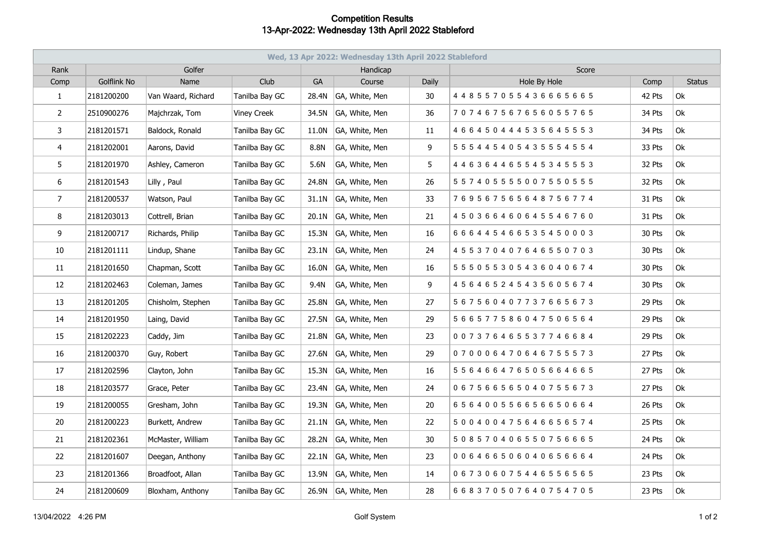## **Competition Results 13-Apr-2022: Wednesday 13th April 2022 Stableford**

| Wed, 13 Apr 2022: Wednesday 13th April 2022 Stableford |                    |                    |                |           |                |       |                                     |        |               |  |  |  |
|--------------------------------------------------------|--------------------|--------------------|----------------|-----------|----------------|-------|-------------------------------------|--------|---------------|--|--|--|
| Rank                                                   | Golfer             |                    |                |           | Handicap       |       | Score                               |        |               |  |  |  |
| Comp                                                   | <b>Golflink No</b> | Name               | Club           | <b>GA</b> | Course         | Daily | Hole By Hole                        | Comp   | <b>Status</b> |  |  |  |
| $\mathbf{1}$                                           | 2181200200         | Van Waard, Richard | Tanilba Bay GC | 28.4N     | GA, White, Men | 30    | 4 4 8 5 5 7 0 5 5 4 3 6 6 6 5 6 6 5 | 42 Pts | Ok            |  |  |  |
| $\overline{2}$                                         | 2510900276         | Majchrzak, Tom     | Viney Creek    | 34.5N     | GA, White, Men | 36    | 707467567656055765                  | 34 Pts | 0k            |  |  |  |
| 3                                                      | 2181201571         | Baldock, Ronald    | Tanilba Bay GC | 11.0N     | GA, White, Men | 11    | 4 6 6 4 5 0 4 4 4 5 3 5 6 4 5 5 5 3 | 34 Pts | Ok            |  |  |  |
| 4                                                      | 2181202001         | Aarons, David      | Tanilba Bay GC | 8.8N      | GA, White, Men | 9     | 5 5 5 4 4 5 4 0 5 4 3 5 5 5 4 5 5 4 | 33 Pts | Ok            |  |  |  |
| 5                                                      | 2181201970         | Ashley, Cameron    | Tanilba Bay GC | 5.6N      | GA, White, Men | 5     | 4 4 6 3 6 4 4 6 5 5 4 5 3 4 5 5 5 3 | 32 Pts | Ok            |  |  |  |
| 6                                                      | 2181201543         | Lilly, Paul        | Tanilba Bay GC | 24.8N     | GA, White, Men | 26    | 557405555007550555                  | 32 Pts | Ok            |  |  |  |
| $7^{\circ}$                                            | 2181200537         | Watson, Paul       | Tanilba Bay GC | 31.1N     | GA, White, Men | 33    | 769567565648756774                  | 31 Pts | <b>Ok</b>     |  |  |  |
| 8                                                      | 2181203013         | Cottrell, Brian    | Tanilba Bay GC | 20.1N     | GA, White, Men | 21    | 450366460645546760                  | 31 Pts | Ok            |  |  |  |
| 9                                                      | 2181200717         | Richards, Philip   | Tanilba Bay GC | 15.3N     | GA, White, Men | 16    | 666445466535450003                  | 30 Pts | Ok            |  |  |  |
| 10                                                     | 2181201111         | Lindup, Shane      | Tanilba Bay GC | 23.1N     | GA, White, Men | 24    | 4 5 5 3 7 0 4 0 7 6 4 6 5 5 0 7 0 3 | 30 Pts | Ok            |  |  |  |
| 11                                                     | 2181201650         | Chapman, Scott     | Tanilba Bay GC | 16.0N     | GA, White, Men | 16    | 555055305436040674                  | 30 Pts | Ok            |  |  |  |
| 12                                                     | 2181202463         | Coleman, James     | Tanilba Bay GC | 9.4N      | GA, White, Men | 9     | 4 5 6 4 6 5 2 4 5 4 3 5 6 0 5 6 7 4 | 30 Pts | Ok            |  |  |  |
| 13                                                     | 2181201205         | Chisholm, Stephen  | Tanilba Bay GC | 25.8N     | GA, White, Men | 27    | 567560407737665673                  | 29 Pts | Ok            |  |  |  |
| 14                                                     | 2181201950         | Laing, David       | Tanilba Bay GC | 27.5N     | GA, White, Men | 29    | 566577586047506564                  | 29 Pts | Ok            |  |  |  |
| 15                                                     | 2181202223         | Caddy, Jim         | Tanilba Bay GC | 21.8N     | GA, White, Men | 23    | 007376465537746684                  | 29 Pts | Ok            |  |  |  |
| 16                                                     | 2181200370         | Guy, Robert        | Tanilba Bay GC | 27.6N     | GA, White, Men | 29    | 070006470646755573                  | 27 Pts | Ok            |  |  |  |
| 17                                                     | 2181202596         | Clayton, John      | Tanilba Bay GC | 15.3N     | GA, White, Men | 16    | 5 5 6 4 6 6 4 7 6 5 0 5 6 6 4 6 6 5 | 27 Pts | <b>Ok</b>     |  |  |  |
| 18                                                     | 2181203577         | Grace, Peter       | Tanilba Bay GC | 23.4N     | GA, White, Men | 24    | 067566565040755673                  | 27 Pts | Ok            |  |  |  |
| 19                                                     | 2181200055         | Gresham, John      | Tanilba Bay GC | 19.3N     | GA, White, Men | 20    | 656400556656650664                  | 26 Pts | Ok            |  |  |  |
| 20                                                     | 2181200223         | Burkett, Andrew    | Tanilba Bay GC | 21.1N     | GA, White, Men | 22    | 500400475646656574                  | 25 Pts | Ok            |  |  |  |
| 21                                                     | 2181202361         | McMaster, William  | Tanilba Bay GC | 28.2N     | GA, White, Men | 30    | 508570406550756665                  | 24 Pts | Ok            |  |  |  |
| 22                                                     | 2181201607         | Deegan, Anthony    | Tanilba Bay GC | 22.1N     | GA, White, Men | 23    | 006466506040656664                  | 24 Pts | 0k            |  |  |  |
| 23                                                     | 2181201366         | Broadfoot, Allan   | Tanilba Bay GC | 13.9N     | GA, White, Men | 14    | 067306075446556565                  | 23 Pts | Ok            |  |  |  |
| 24                                                     | 2181200609         | Bloxham, Anthony   | Tanilba Bay GC | 26.9N     | GA, White, Men | 28    | 668370507640754705                  | 23 Pts | Ok            |  |  |  |